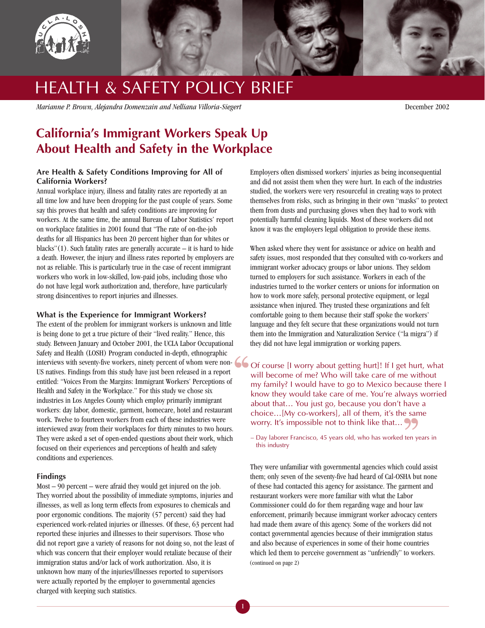

# HEALTH & SAFETY POLICY BRIEF

*Marianne P. Brown, Alejandra Domenzain and Nelliana Villoria-Siegert* December 2002

# **California's Immigrant Workers Speak Up About Health and Safety in the Workplace**

# **Are Health & Safety Conditions Improving for All of California Workers?**

Annual workplace injury, illness and fatality rates are reportedly at an all time low and have been dropping for the past couple of years. Some say this proves that health and safety conditions are improving for workers. At the same time, the annual Bureau of Labor Statistics' report on workplace fatalities in 2001 found that "The rate of on-the-job deaths for all Hispanics has been 20 percent higher than for whites or blacks" $(1)$ . Such fatality rates are generally accurate – it is hard to hide a death. However, the injury and illness rates reported by employers are not as reliable. This is particularly true in the case of recent immigrant workers who work in low-skilled, low-paid jobs, including those who do not have legal work authorization and, therefore, have particularly strong disincentives to report injuries and illnesses.

### **What is the Experience for Immigrant Workers?**

The extent of the problem for immigrant workers is unknown and little is being done to get a true picture of their "lived reality." Hence, this study. Between January and October 2001, the UCLA Labor Occupational Safety and Health (LOSH) Program conducted in-depth, ethnographic Salety and Health (LOSH) Program conducted in-depth, emhographic<br>interviews with seventy-five workers, ninety percent of whom were non-<br>US natives. Findings from this study have just been released in a report<br>entitled: "Vo US natives. Findings from this study have just been released in a report entitled: "Voices From the Margins: Immigrant Workers' Perceptions of Health and Safety in the Workplace." For this study we chose six industries in Los Angeles County which employ primarily immigrant workers: day labor, domestic, garment, homecare, hotel and restaurant work. Twelve to fourteen workers from each of these industries were interviewed away from their workplaces for thirty minutes to two hours. They were asked a set of open-ended questions about their work, which focused on their experiences and perceptions of health and safety conditions and experiences.

### **Findings**

Most – 90 percent – were afraid they would get injured on the job. They worried about the possibility of immediate symptoms, injuries and illnesses, as well as long term effects from exposures to chemicals and poor ergonomic conditions. The majority (57 percent) said they had experienced work-related injuries or illnesses. Of these, 63 percent had reported these injuries and illnesses to their supervisors. Those who did not report gave a variety of reasons for not doing so, not the least of which was concern that their employer would retaliate because of their immigration status and/or lack of work authorization. Also, it is unknown how many of the injuries/illnesses reported to supervisors were actually reported by the employer to governmental agencies charged with keeping such statistics.

Employers often dismissed workers' injuries as being inconsequential and did not assist them when they were hurt. In each of the industries studied, the workers were very resourceful in creating ways to protect themselves from risks, such as bringing in their own "masks" to protect them from dusts and purchasing gloves when they had to work with potentially harmful cleaning liquids. Most of these workers did not know it was the employers legal obligation to provide these items.

When asked where they went for assistance or advice on health and safety issues, most responded that they consulted with co-workers and immigrant worker advocacy groups or labor unions. They seldom turned to employers for such assistance. Workers in each of the industries turned to the worker centers or unions for information on how to work more safely, personal protective equipment, or legal assistance when injured. They trusted these organizations and felt comfortable going to them because their staff spoke the workers' language and they felt secure that these organizations would not turn them into the Immigration and Naturalization Service ("la migra") if they did not have legal immigration or working papers.

Of course [I worry about getting hurt]! If I get hurt, what will become of me? Who will take care of me without my family? I would have to go to Mexico because there I know they would take care of me. You're always worried about that… You just go, because you don't have a choice…[My co-workers], all of them, it's the same worry. It's impossible not to think like that... 99  $\frac{1}{2}$  sam

– Day laborer Francisco, 45 years old, who has worked ten years in this industry

They were unfamiliar with governmental agencies which could assist them; only seven of the seventy-five had heard of Cal-OSHA but none of these had contacted this agency for assistance. The garment and restaurant workers were more familiar with what the Labor Commissioner could do for them regarding wage and hour law enforcement, primarily because immigrant worker advocacy centers had made them aware of this agency. Some of the workers did not contact governmental agencies because of their immigration status and also because of experiences in some of their home countries which led them to perceive government as "unfriendly" to workers. (continued on page 2)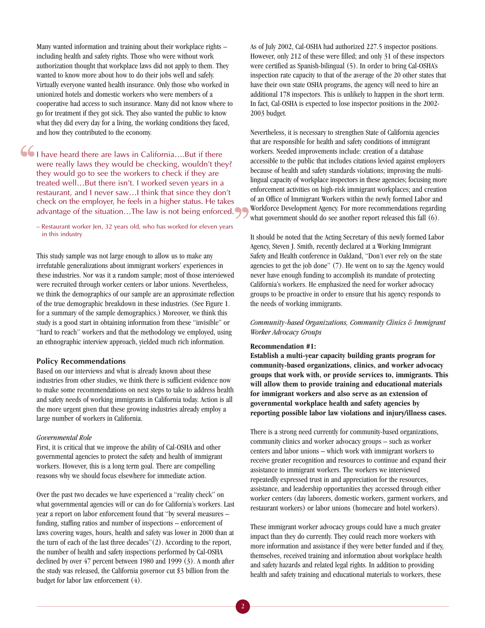Many wanted information and training about their workplace rights – including health and safety rights. Those who were without work authorization thought that workplace laws did not apply to them. They wanted to know more about how to do their jobs well and safely. Virtually everyone wanted health insurance. Only those who worked in unionized hotels and domestic workers who were members of a cooperative had access to such insurance. Many did not know where to go for treatment if they got sick. They also wanted the public to know what they did every day for a living, the working conditions they faced, and how they contributed to the economy.

I have heard there are laws in California….But if there were really laws they would be checking, wouldn't they? they would go to see the workers to check if they are treated well…But there isn't. I worked seven years in a restaurant, and I never saw…I think that since they don't check on the employer, he feels in a higher status. He takes advantage of the situation...The law is not being enforced.  $\frac{66}{\frac{1}{1}}$ 

– Restaurant worker Jen, 32 years old, who has worked for eleven years in this industry

This study sample was not large enough to allow us to make any irrefutable generalizations about immigrant workers' experiences in these industries. Nor was it a random sample; most of those interviewed were recruited through worker centers or labor unions. Nevertheless, we think the demographics of our sample are an approximate reflection of the true demographic breakdown in these industries. (See Figure 1. for a summary of the sample demographics.) Moreover, we think this study is a good start in obtaining information from these "invisible" or "hard to reach" workers and that the methodology we employed, using an ethnographic interview approach, yielded much rich information.

#### **Policy Recommendations**

Based on our interviews and what is already known about these industries from other studies, we think there is sufficient evidence now to make some recommendations on next steps to take to address health and safety needs of working immigrants in California today. Action is all the more urgent given that these growing industries already employ a large number of workers in California.

#### *Governmental Role*

First, it is critical that we improve the ability of Cal-OSHA and other governmental agencies to protect the safety and health of immigrant workers. However, this is a long term goal. There are compelling reasons why we should focus elsewhere for immediate action.

Over the past two decades we have experienced a "reality check" on what governmental agencies will or can do for California's workers. Last year a report on labor enforcement found that "by several measures – funding, staffing ratios and number of inspections – enforcement of laws covering wages, hours, health and safety was lower in 2000 than at the turn of each of the last three decades"(2). According to the report, the number of health and safety inspections performed by Cal-OSHA declined by over 47 percent between 1980 and 1999 (3). A month after the study was released, the California governor cut \$3 billion from the budget for labor law enforcement (4).

As of July 2002, Cal-OSHA had authorized 227.5 inspector positions. However, only 212 of these were filled; and only 31 of these inspectors were certified as Spanish-bilingual (5). In order to bring Cal-OSHA's inspection rate capacity to that of the average of the 20 other states that have their own state OSHA programs, the agency will need to hire an additional 178 inspectors. This is unlikely to happen in the short term. In fact, Cal-OSHA is expected to lose inspector positions in the 2002- 2003 budget.

Nevertheless, it is necessary to strengthen State of California agencies that are responsible for health and safety conditions of immigrant workers. Needed improvements include: creation of a database accessible to the public that includes citations levied against employers because of health and safety standards violations; improving the multilingual capacity of workplace inspectors in these agencies; focusing more enforcement activities on high-risk immigrant workplaces; and creation of an Office of Immigrant Workers within the newly formed Labor and Workforce Development Agency. For more recommendations regarding what government should do see another report released this fall (6).

It should be noted that the Acting Secretary of this newly formed Labor Agency, Steven J. Smith, recently declared at a Working Immigrant Safety and Health conference in Oakland, "Don't ever rely on the state agencies to get the job done" (7). He went on to say the Agency would never have enough funding to accomplish its mandate of protecting California's workers. He emphasized the need for worker advocacy groups to be proactive in order to ensure that his agency responds to the needs of working immigrants.

# *Community-based Organizations, Community Clinics & Immigrant Worker Advocacy Groups*

#### **Recommendation #1:**

**Establish a multi-year capacity building grants program for community-based organizations, clinics, and worker advocacy groups that work with, or provide services to, immigrants. This will allow them to provide training and educational materials for immigrant workers and also serve as an extension of governmental workplace health and safety agencies by reporting possible labor law violations and injury/illness cases.**

There is a strong need currently for community-based organizations, community clinics and worker advocacy groups – such as worker centers and labor unions – which work with immigrant workers to receive greater recognition and resources to continue and expand their assistance to immigrant workers. The workers we interviewed repeatedly expressed trust in and appreciation for the resources, assistance, and leadership opportunities they accessed through either worker centers (day laborers, domestic workers, garment workers, and restaurant workers) or labor unions (homecare and hotel workers).

These immigrant worker advocacy groups could have a much greater impact than they do currently. They could reach more workers with more information and assistance if they were better funded and if they, themselves, received training and information about workplace health and safety hazards and related legal rights. In addition to providing health and safety training and educational materials to workers, these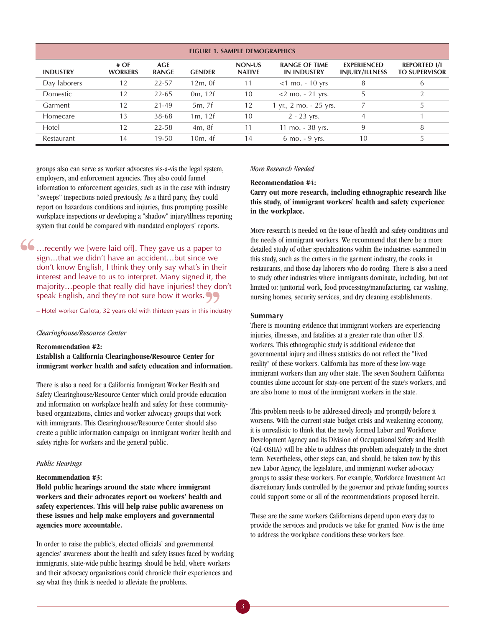| <b>FIGURE 1. SAMPLE DEMOGRAPHICS</b> |                       |                     |               |                         |                                            |                                             |                                             |
|--------------------------------------|-----------------------|---------------------|---------------|-------------------------|--------------------------------------------|---------------------------------------------|---------------------------------------------|
| <b>INDUSTRY</b>                      | #OF<br><b>WORKERS</b> | AGE<br><b>RANGE</b> | <b>GENDER</b> | NON-US<br><b>NATIVE</b> | <b>RANGE OF TIME</b><br><b>IN INDUSTRY</b> | <b>EXPERIENCED</b><br><b>INJURY/ILLNESS</b> | <b>REPORTED I/I</b><br><b>TO SUPERVISOR</b> |
| Day laborers                         | 12                    | $22 - 57$           | $12m$ , Of    | 11                      | $<$ 1 mo. - 10 yrs                         | 8                                           | 6                                           |
| Domestic                             | 12                    | $22 - 65$           | 0m, 12f       | 10                      | $<$ 2 mo. - 21 yrs.                        |                                             | 2                                           |
| Garment                              | 12                    | 21-49               | 5m, 7f        | 12                      | 1 yr., 2 mo. - 25 yrs.                     |                                             | 5                                           |
| Homecare                             | 13                    | 38-68               | 1m, 12f       | 10                      | $2 - 23$ yrs.                              | 4                                           |                                             |
| Hotel                                | 12                    | $22 - 58$           | 4m, 8f        | 11                      | 11 mo. - 38 yrs.                           | 9                                           | 8                                           |
| Restaurant                           | 14                    | $19 - 50$           | 10m, 4f       | 14                      | $6$ mo. $-9$ yrs.                          | 10                                          | 5                                           |

groups also can serve as worker advocates vis-a-vis the legal system, employers, and enforcement agencies. They also could funnel information to enforcement agencies, such as in the case with industry "sweeps" inspections noted previously. As a third party, they could report on hazardous conditions and injuries, thus prompting possible workplace inspections or developing a "shadow" injury/illness reporting system that could be compared with mandated employers' reports.

…recently we [were laid off]. They gave us a paper to sign…that we didn't have an accident…but since we don't know English, I think they only say what's in their interest and leave to us to interpret. Many signed it, the majority…people that really did have injuries! they don't speak English, and they're not sure how it works.  $\frac{66}{\frac{6}{10}}$ 

– Hotel worker Carlota, 32 years old with thirteen years in this industry

#### *Clearinghouse/Resource Center*

**Recommendation #2: Establish a California Clearinghouse/Resource Center for immigrant worker health and safety education and information.**

There is also a need for a California Immigrant Worker Health and Safety Clearinghouse/Resource Center which could provide education and information on workplace health and safety for these communitybased organizations, clinics and worker advocacy groups that work with immigrants. This Clearinghouse/Resource Center should also create a public information campaign on immigrant worker health and safety rights for workers and the general public.

#### *Public Hearings*

#### **Recommendation #3:**

**Hold public hearings around the state where immigrant workers and their advocates report on workers' health and safety experiences. This will help raise public awareness on these issues and help make employers and governmental agencies more accountable.**

In order to raise the public's, elected officials' and governmental agencies' awareness about the health and safety issues faced by working immigrants, state-wide public hearings should be held, where workers and their advocacy organizations could chronicle their experiences and say what they think is needed to alleviate the problems.

#### *More Research Needed*

**Recommendation #4:** 

**Carry out more research, including ethnographic research like this study, of immigrant workers' health and safety experience in the workplace.**

More research is needed on the issue of health and safety conditions and the needs of immigrant workers. We recommend that there be a more detailed study of other specializations within the industries examined in this study, such as the cutters in the garment industry, the cooks in restaurants, and those day laborers who do roofing. There is also a need to study other industries where immigrants dominate, including, but not limited to: janitorial work, food processing/manufacturing, car washing, nursing homes, security services, and dry cleaning establishments.

#### **Summary**

There is mounting evidence that immigrant workers are experiencing injuries, illnesses, and fatalities at a greater rate than other U.S. workers. This ethnographic study is additional evidence that governmental injury and illness statistics do not reflect the "lived reality" of these workers. California has more of these low-wage immigrant workers than any other state. The seven Southern California counties alone account for sixty-one percent of the state's workers, and are also home to most of the immigrant workers in the state.

This problem needs to be addressed directly and promptly before it worsens. With the current state budget crisis and weakening economy, it is unrealistic to think that the newly formed Labor and Workforce Development Agency and its Division of Occupational Safety and Health (Cal-OSHA) will be able to address this problem adequately in the short term. Nevertheless, other steps can, and should, be taken now by this new Labor Agency, the legislature, and immigrant worker advocacy groups to assist these workers. For example, Workforce Investment Act discretionary funds controlled by the governor and private funding sources could support some or all of the recommendations proposed herein.

These are the same workers Californians depend upon every day to provide the services and products we take for granted. Now is the time to address the workplace conditions these workers face.